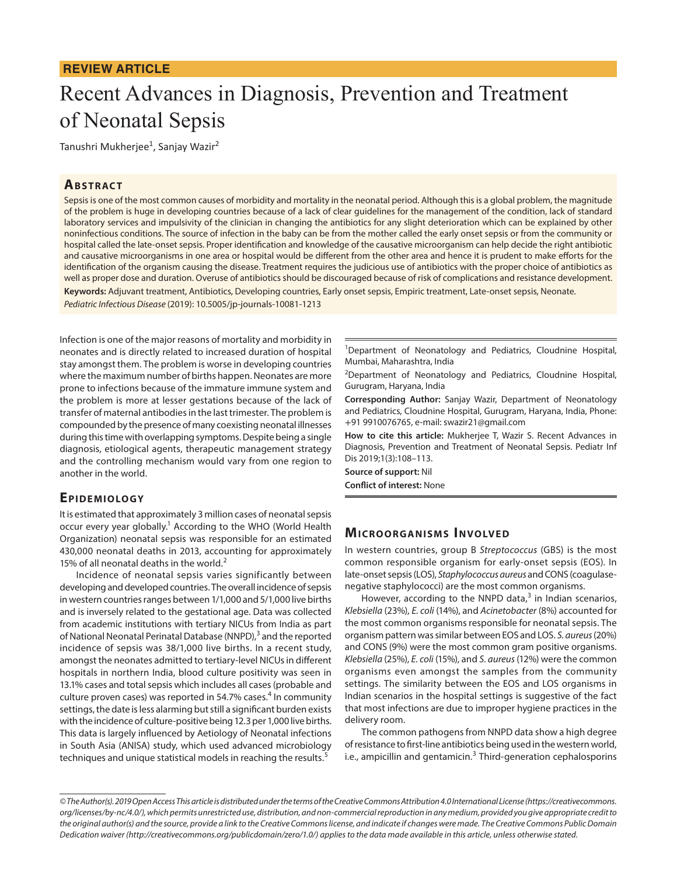## **REVIEW ARTICLE**

# Recent Advances in Diagnosis, Prevention and Treatment of Neonatal Sepsis

Tanushri Mukherjee<sup>1</sup>, Sanjay Wazir<sup>2</sup>

## **ABSTRACT**

Sepsis is one of the most common causes of morbidity and mortality in the neonatal period. Although this is a global problem, the magnitude of the problem is huge in developing countries because of a lack of clear guidelines for the management of the condition, lack of standard laboratory services and impulsivity of the clinician in changing the antibiotics for any slight deterioration which can be explained by other noninfectious conditions. The source of infection in the baby can be from the mother called the early onset sepsis or from the community or hospital called the late-onset sepsis. Proper identification and knowledge of the causative microorganism can help decide the right antibiotic and causative microorganisms in one area or hospital would be different from the other area and hence it is prudent to make efforts for the identification of the organism causing the disease. Treatment requires the judicious use of antibiotics with the proper choice of antibiotics as well as proper dose and duration. Overuse of antibiotics should be discouraged because of risk of complications and resistance development. **Keywords:** Adjuvant treatment, Antibiotics, Developing countries, Early onset sepsis, Empiric treatment, Late-onset sepsis, Neonate. *Pediatric Infectious Disease* (2019): 10.5005/jp-journals-10081-1213

Infection is one of the major reasons of mortality and morbidity in neonates and is directly related to increased duration of hospital stay amongst them. The problem is worse in developing countries where the maximum number of births happen. Neonates are more prone to infections because of the immature immune system and the problem is more at lesser gestations because of the lack of transfer of maternal antibodies in the last trimester. The problem is compounded by the presence of many coexisting neonatal illnesses during this time with overlapping symptoms. Despite being a single diagnosis, etiological agents, therapeutic management strategy and the controlling mechanism would vary from one region to another in the world.

## EPIDEMIOLOGY

It is estimated that approximately 3 million cases of neonatal sepsis occur every year globally.<sup>1</sup> According to the WHO (World Health Organization) neonatal sepsis was responsible for an estimated 430,000 neonatal deaths in 2013, accounting for approximately 15% of all neonatal deaths in the world. $2^2$ 

Incidence of neonatal sepsis varies significantly between developing and developed countries. The overall incidence of sepsis in western countries ranges between 1/1,000 and 5/1,000 live births and is inversely related to the gestational age. Data was collected from academic institutions with tertiary NICUs from India as part of National Neonatal Perinatal Database (NNPD),<sup>3</sup> and the reported incidence of sepsis was 38/1,000 live births. In a recent study, amongst the neonates admitted to tertiary-level NICUs in different hospitals in northern India, blood culture positivity was seen in 13.1% cases and total sepsis which includes all cases (probable and culture proven cases) was reported in 54.7% cases.<sup>4</sup> In community settings, the date is less alarming but still a significant burden exists with the incidence of culture-positive being 12.3 per 1,000 live births. This data is largely influenced by Aetiology of Neonatal infections in South Asia (ANISA) study, which used advanced microbiology techniques and unique statistical models in reaching the results.<sup>5</sup>

<sup>1</sup>Department of Neonatology and Pediatrics, Cloudnine Hospital, Mumbai, Maharashtra, India

<sup>2</sup>Department of Neonatology and Pediatrics, Cloudnine Hospital, Gurugram, Haryana, India

**Corresponding Author:** Sanjay Wazir, Department of Neonatology and Pediatrics, Cloudnine Hospital, Gurugram, Haryana, India, Phone: +91 9910076765, e-mail: swazir21@gmail.com

**How to cite this article:** Mukherjee T, Wazir S. Recent Advances in Diagnosis, Prevention and Treatment of Neonatal Sepsis. Pediatr Inf Dis 2019;1(3):108–113.

**Source of support:** Nil

**Conflict of interest:** None

## **MICROORGANISMS INVOLVED**

In western countries, group B *Streptococcus* (GBS) is the most common responsible organism for early-onset sepsis (EOS). In late-onset sepsis (LOS), *Staphylococcus aureus* and CONS (coagulasenegative staphylococci) are the most common organisms.

However, according to the NNPD data,<sup>3</sup> in Indian scenarios, *Klebsiella* (23%), *E. coli* (14%), and *Acinetobacter* (8%) accounted for the most common organisms responsible for neonatal sepsis. The organism pattern was similar between EOS and LOS. *S. aureus* (20%) and CONS (9%) were the most common gram positive organisms. *Klebsiella* (25%), *E. coli* (15%), and *S. aureus* (12%) were the common organisms even amongst the samples from the community settings. The similarity between the EOS and LOS organisms in Indian scenarios in the hospital settings is suggestive of the fact that most infections are due to improper hygiene practices in the delivery room.

The common pathogens from NNPD data show a high degree of resistance to first-line antibiotics being used in the western world, i.e., ampicillin and gentamicin.<sup>3</sup> Third-generation cephalosporins

*<sup>©</sup> The Author(s). 2019 Open Access This article is distributed under the terms of the Creative Commons Attribution 4.0 International License (https://creativecommons. org/licenses/by-nc/4.0/), which permits unrestricted use, distribution, and non-commercial reproduction in any medium, provided you give appropriate credit to the original author(s) and the source, provide a link to the Creative Commons license, and indicate if changes were made. The Creative Commons Public Domain Dedication waiver (http://creativecommons.org/publicdomain/zero/1.0/) applies to the data made available in this article, unless otherwise stated.*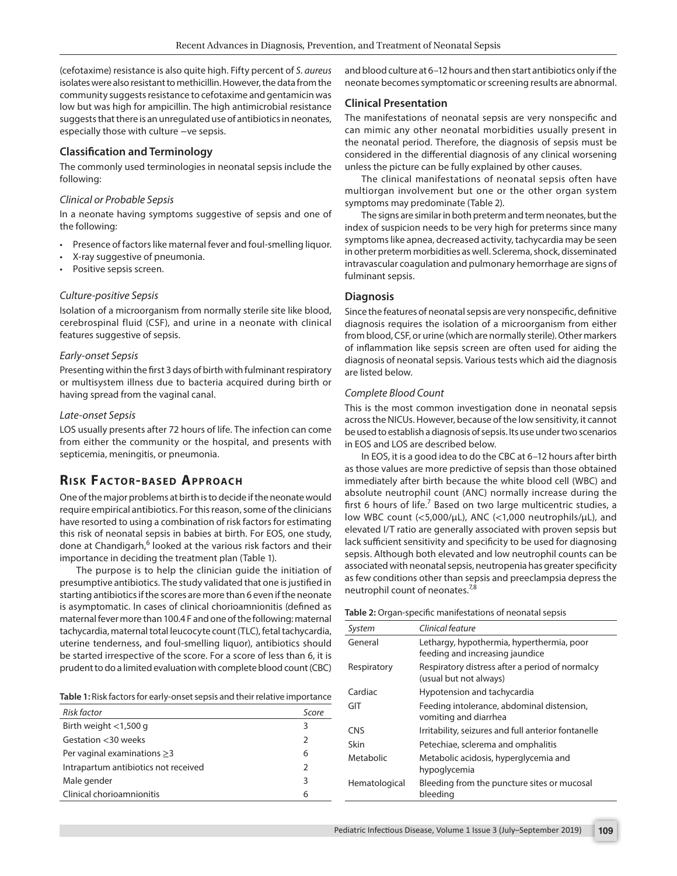(cefotaxime) resistance is also quite high. Fifty percent of *S. aureus* isolates were also resistant to methicillin. However, the data from the community suggests resistance to cefotaxime and gentamicin was low but was high for ampicillin. The high antimicrobial resistance suggests that there is an unregulated use of antibiotics in neonates, especially those with culture -ve sepsis.

#### **Classification and Terminology**

The commonly used terminologies in neonatal sepsis include the following:

#### *Clinical or Probable Sepsis*

In a neonate having symptoms suggestive of sepsis and one of the following:

- Presence of factors like maternal fever and foul-smelling liquor.
- X-ray suggestive of pneumonia.
- Positive sepsis screen.

#### *Culture-positive Sepsis*

Isolation of a microorganism from normally sterile site like blood, cerebrospinal fluid (CSF), and urine in a neonate with clinical features suggestive of sepsis.

#### *Early-onset Sepsis*

Presenting within the first 3 days of birth with fulminant respiratory or multisystem illness due to bacteria acquired during birth or having spread from the vaginal canal.

#### *Late-onset Sepsis*

LOS usually presents after 72 hours of life. The infection can come from either the community or the hospital, and presents with septicemia, meningitis, or pneumonia.

## **RISK FACTOR-BASED APPROACH**

One of the major problems at birth is to decide if the neonate would require empirical antibiotics. For this reason, some of the clinicians have resorted to using a combination of risk factors for estimating this risk of neonatal sepsis in babies at birth. For EOS, one study, done at Chandigarh, <sup>6</sup> looked at the various risk factors and their importance in deciding the treatment plan (Table 1).

The purpose is to help the clinician guide the initiation of presumptive antibiotics. The study validated that one is justified in starting antibiotics if the scores are more than 6 even if the neonate is asymptomatic. In cases of clinical chorioamnionitis (defined as maternal fever more than 100.4 F and one of the following: maternal tachycardia, maternal total leucocyte count (TLC), fetal tachycardia, uterine tenderness, and foul-smelling liquor), antibiotics should be started irrespective of the score. For a score of less than 6, it is prudent to do a limited evaluation with complete blood count (CBC)

**Table 1:** Risk factors for early-onset sepsis and their relative importance

| Risk factor                          | Score         |
|--------------------------------------|---------------|
| Birth weight $<$ 1,500 g             | 3             |
| Gestation $<$ 30 weeks               | $\mathcal{P}$ |
| Per vaginal examinations $\geq$ 3    | 6             |
| Intrapartum antibiotics not received | $\mathcal{P}$ |
| Male gender                          | 3             |
| Clinical chorioamnionitis            | 6             |

and blood culture at 6–12 hours and then start antibiotics only if the neonate becomes symptomatic or screening results are abnormal.

#### **Clinical Presentation**

The manifestations of neonatal sepsis are very nonspecific and can mimic any other neonatal morbidities usually present in the neonatal period. Therefore, the diagnosis of sepsis must be considered in the differential diagnosis of any clinical worsening unless the picture can be fully explained by other causes.

The clinical manifestations of neonatal sepsis often have multiorgan involvement but one or the other organ system symptoms may predominate (Table 2).

The signs are similar in both preterm and term neonates, but the index of suspicion needs to be very high for preterms since many symptoms like apnea, decreased activity, tachycardia may be seen in other preterm morbidities as well. Sclerema, shock, disseminated intravascular coagulation and pulmonary hemorrhage are signs of fulminant sepsis.

#### **Diagnosis**

Since the features of neonatal sepsis are very nonspecific, definitive diagnosis requires the isolation of a microorganism from either from blood, CSF, or urine (which are normally sterile). Other markers of inflammation like sepsis screen are often used for aiding the diagnosis of neonatal sepsis. Various tests which aid the diagnosis are listed below.

#### *Complete Blood Count*

This is the most common investigation done in neonatal sepsis across the NICUs. However, because of the low sensitivity, it cannot be used to establish a diagnosis of sepsis. Its use under two scenarios in EOS and LOS are described below.

In EOS, it is a good idea to do the CBC at 6–12 hours after birth as those values are more predictive of sepsis than those obtained immediately after birth because the white blood cell (WBC) and absolute neutrophil count (ANC) normally increase during the first 6 hours of life.<sup>7</sup> Based on two large multicentric studies, a low WBC count (<5,000/μL), ANC (<1,000 neutrophils/μL), and elevated I/T ratio are generally associated with proven sepsis but lack sufficient sensitivity and specificity to be used for diagnosing sepsis. Although both elevated and low neutrophil counts can be associated with neonatal sepsis, neutropenia has greater specificity as few conditions other than sepsis and preeclampsia depress the neutrophil count of neonates.<sup>7,8</sup>

|  |  |  |  | Table 2: Organ-specific manifestations of neonatal sepsis |  |
|--|--|--|--|-----------------------------------------------------------|--|
|  |  |  |  |                                                           |  |

| System        | Clinical feature                                                             |
|---------------|------------------------------------------------------------------------------|
| General       | Lethargy, hypothermia, hyperthermia, poor<br>feeding and increasing jaundice |
| Respiratory   | Respiratory distress after a period of normalcy<br>(usual but not always)    |
| Cardiac       | Hypotension and tachycardia                                                  |
| GIT           | Feeding intolerance, abdominal distension,<br>vomiting and diarrhea          |
| <b>CNS</b>    | Irritability, seizures and full anterior fontanelle                          |
| Skin          | Petechiae, sclerema and omphalitis                                           |
| Metabolic     | Metabolic acidosis, hyperglycemia and<br>hypoglycemia                        |
| Hematological | Bleeding from the puncture sites or mucosal<br>bleeding                      |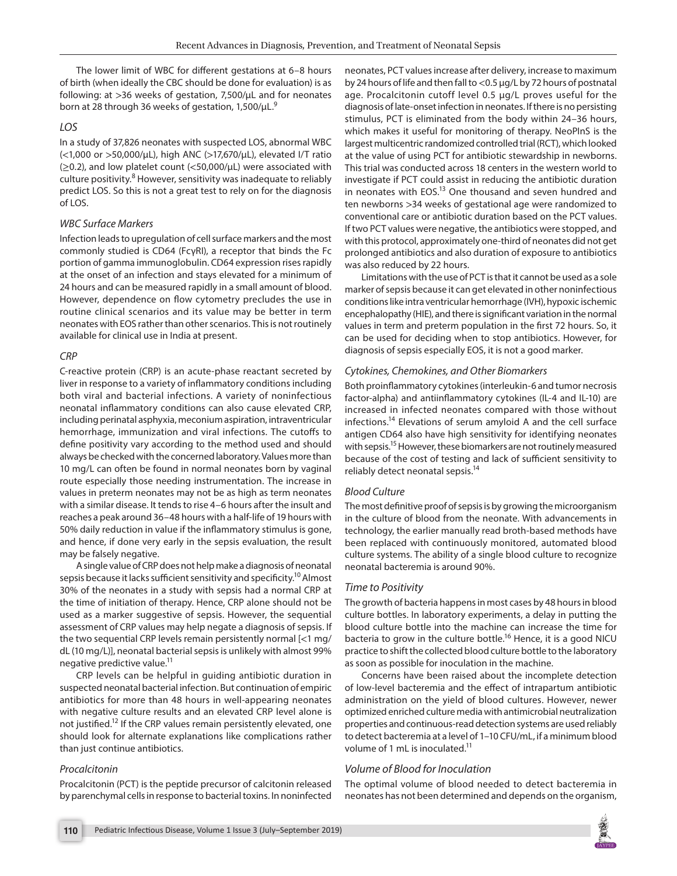The lower limit of WBC for different gestations at 6–8 hours of birth (when ideally the CBC should be done for evaluation) is as following: at >36 weeks of gestation, 7,500/μL and for neonates born at 28 through 36 weeks of gestation, 1,500/μL.9

#### *LOS*

In a study of 37,826 neonates with suspected LOS, abnormal WBC (<1,000 or >50,000/μL), high ANC (>17,670/μL), elevated I/T ratio  $(\geq 0.2)$ , and low platelet count  $(<\leq 50,000/\mu$ L) were associated with culture positivity.<sup>8</sup> However, sensitivity was inadequate to reliably predict LOS. So this is not a great test to rely on for the diagnosis of LOS.

#### *WBC Surface Markers*

Infection leads to upregulation of cell surface markers and the most commonly studied is CD64 (FcγRI), a receptor that binds the Fc portion of gamma immunoglobulin. CD64 expression rises rapidly at the onset of an infection and stays elevated for a minimum of 24 hours and can be measured rapidly in a small amount of blood. However, dependence on flow cytometry precludes the use in routine clinical scenarios and its value may be better in term neonates with EOS rather than other scenarios. This is not routinely available for clinical use in India at present.

## *CRP*

C-reactive protein (CRP) is an acute-phase reactant secreted by liver in response to a variety of inflammatory conditions including both viral and bacterial infections. A variety of noninfectious neonatal inflammatory conditions can also cause elevated CRP, including perinatal asphyxia, meconium aspiration, intraventricular hemorrhage, immunization and viral infections. The cutoffs to define positivity vary according to the method used and should always be checked with the concerned laboratory. Values more than 10 mg/L can often be found in normal neonates born by vaginal route especially those needing instrumentation. The increase in values in preterm neonates may not be as high as term neonates with a similar disease. It tends to rise 4–6 hours after the insult and reaches a peak around 36–48 hours with a half-life of 19 hours with 50% daily reduction in value if the inflammatory stimulus is gone, and hence, if done very early in the sepsis evaluation, the result may be falsely negative.

A single value of CRP does not help make a diagnosis of neonatal sepsis because it lacks sufficient sensitivity and specificity.<sup>10</sup> Almost 30% of the neonates in a study with sepsis had a normal CRP at the time of initiation of therapy. Hence, CRP alone should not be used as a marker suggestive of sepsis. However, the sequential assessment of CRP values may help negate a diagnosis of sepsis. If the two sequential CRP levels remain persistently normal [<1 mg/ dL (10 mg/L)], neonatal bacterial sepsis is unlikely with almost 99% negative predictive value.<sup>11</sup>

CRP levels can be helpful in guiding antibiotic duration in suspected neonatal bacterial infection. But continuation of empiric antibiotics for more than 48 hours in well-appearing neonates with negative culture results and an elevated CRP level alone is not justified.<sup>12</sup> If the CRP values remain persistently elevated, one should look for alternate explanations like complications rather than just continue antibiotics.

#### *Procalcitonin*

Procalcitonin (PCT) is the peptide precursor of calcitonin released by parenchymal cells in response to bacterial toxins. In noninfected neonates, PCT values increase after delivery, increase to maximum by 24 hours of life and then fall to <0.5 μg/L by 72 hours of postnatal age. Procalcitonin cutoff level 0.5 μg/L proves useful for the diagnosis of late-onset infection in neonates. If there is no persisting stimulus, PCT is eliminated from the body within 24–36 hours, which makes it useful for monitoring of therapy. NeoPInS is the largest multicentric randomized controlled trial (RCT), which looked at the value of using PCT for antibiotic stewardship in newborns. This trial was conducted across 18 centers in the western world to investigate if PCT could assist in reducing the antibiotic duration in neonates with EOS.13 One thousand and seven hundred and ten newborns >34 weeks of gestational age were randomized to conventional care or antibiotic duration based on the PCT values. If two PCT values were negative, the antibiotics were stopped, and with this protocol, approximately one-third of neonates did not get prolonged antibiotics and also duration of exposure to antibiotics was also reduced by 22 hours.

Limitations with the use of PCT is that it cannot be used as a sole marker of sepsis because it can get elevated in other noninfectious conditions like intra ventricular hemorrhage (IVH), hypoxic ischemic encephalopathy (HIE), and there is significant variation in the normal values in term and preterm population in the first 72 hours. So, it can be used for deciding when to stop antibiotics. However, for diagnosis of sepsis especially EOS, it is not a good marker.

#### *Cytokines, Chemokines, and Other Biomarkers*

Both proinflammatory cytokines (interleukin-6 and tumor necrosis factor-alpha) and antiinflammatory cytokines (IL-4 and IL-10) are increased in infected neonates compared with those without infections.<sup>14</sup> Elevations of serum amyloid A and the cell surface antigen CD64 also have high sensitivity for identifying neonates with sepsis.<sup>15</sup> However, these biomarkers are not routinely measured because of the cost of testing and lack of sufficient sensitivity to reliably detect neonatal sepsis.<sup>14</sup>

#### *Blood Culture*

The most definitive proof of sepsis is by growing the microorganism in the culture of blood from the neonate. With advancements in technology, the earlier manually read broth-based methods have been replaced with continuously monitored, automated blood culture systems. The ability of a single blood culture to recognize neonatal bacteremia is around 90%.

## *Time to Positivity*

The growth of bacteria happens in most cases by 48 hours in blood culture bottles. In laboratory experiments, a delay in putting the blood culture bottle into the machine can increase the time for bacteria to grow in the culture bottle.<sup>16</sup> Hence, it is a good NICU practice to shift the collected blood culture bottle to the laboratory as soon as possible for inoculation in the machine.

Concerns have been raised about the incomplete detection of low-level bacteremia and the effect of intrapartum antibiotic administration on the yield of blood cultures. However, newer optimized enriched culture media with antimicrobial neutralization properties and continuous-read detection systems are used reliably to detect bacteremia at a level of 1–10 CFU/mL, if a minimum blood volume of 1 mL is inoculated.<sup>11</sup>

## *Volume of Blood for Inoculation*

The optimal volume of blood needed to detect bacteremia in neonates has not been determined and depends on the organism,

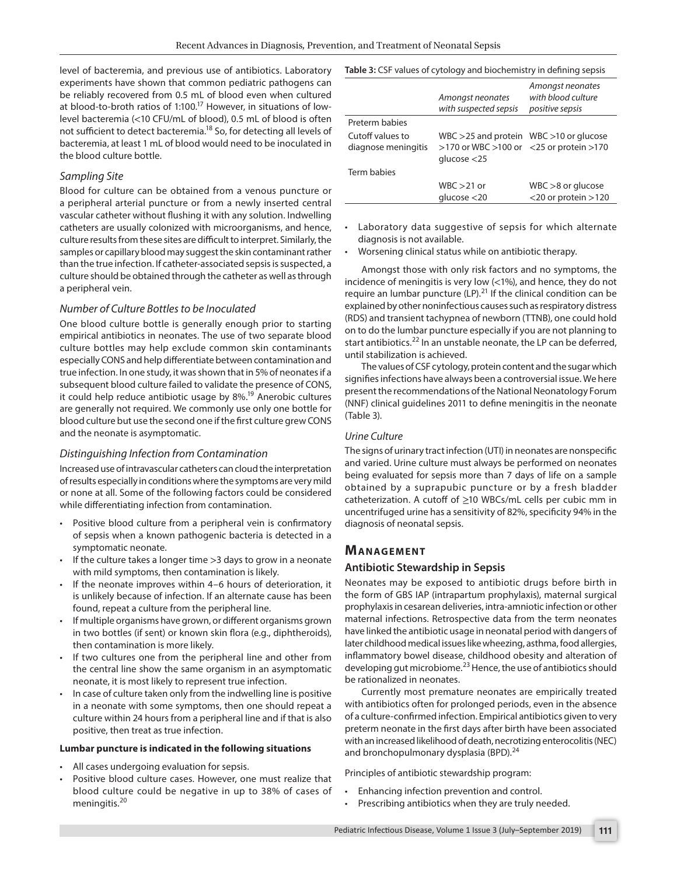level of bacteremia, and previous use of antibiotics. Laboratory experiments have shown that common pediatric pathogens can be reliably recovered from 0.5 mL of blood even when cultured at blood-to-broth ratios of 1:100.<sup>17</sup> However, in situations of lowlevel bacteremia (<10 CFU/mL of blood), 0.5 mL of blood is often not sufficient to detect bacteremia.<sup>18</sup> So, for detecting all levels of bacteremia, at least 1 mL of blood would need to be inoculated in the blood culture bottle.

#### *Sampling Site*

Blood for culture can be obtained from a venous puncture or a peripheral arterial puncture or from a newly inserted central vascular catheter without flushing it with any solution. Indwelling catheters are usually colonized with microorganisms, and hence, culture results from these sites are difficult to interpret. Similarly, the samples or capillary blood may suggest the skin contaminant rather than the true infection. If catheter-associated sepsis is suspected, a culture should be obtained through the catheter as well as through a peripheral vein.

#### *Number of Culture Bottles to be Inoculated*

One blood culture bottle is generally enough prior to starting empirical antibiotics in neonates. The use of two separate blood culture bottles may help exclude common skin contaminants especially CONS and help differentiate between contamination and true infection. In one study, it was shown that in 5% of neonates if a subsequent blood culture failed to validate the presence of CONS, it could help reduce antibiotic usage by  $8\%$ <sup>19</sup> Anerobic cultures are generally not required. We commonly use only one bottle for blood culture but use the second one if the first culture grew CONS and the neonate is asymptomatic.

## *Distinguishing Infection from Contamination*

Increased use of intravascular catheters can cloud the interpretation of results especially in conditions where the symptoms are very mild or none at all. Some of the following factors could be considered while differentiating infection from contamination.

- Positive blood culture from a peripheral vein is confirmatory of sepsis when a known pathogenic bacteria is detected in a symptomatic neonate.
- If the culture takes a longer time  $>3$  days to grow in a neonate with mild symptoms, then contamination is likely.
- If the neonate improves within 4-6 hours of deterioration, it is unlikely because of infection. If an alternate cause has been found, repeat a culture from the peripheral line.
- If multiple organisms have grown, or different organisms grown in two bottles (if sent) or known skin flora (e.g., diphtheroids), then contamination is more likely.
- If two cultures one from the peripheral line and other from the central line show the same organism in an asymptomatic neonate, it is most likely to represent true infection.
- In case of culture taken only from the indwelling line is positive in a neonate with some symptoms, then one should repeat a culture within 24 hours from a peripheral line and if that is also positive, then treat as true infection.

#### **Lumbar puncture is indicated in the following situations**

- All cases undergoing evaluation for sepsis.
- Positive blood culture cases. However, one must realize that blood culture could be negative in up to 38% of cases of meningitis.<sup>20</sup>

|                                         | Amongst neonates<br>with suspected sepsis                                                                     | Amongst neonates<br>with blood culture<br>positive sepsis |
|-----------------------------------------|---------------------------------------------------------------------------------------------------------------|-----------------------------------------------------------|
| Preterm babies                          |                                                                                                               |                                                           |
| Cutoff values to<br>diagnose meningitis | $WBC > 25$ and protein $WBC > 10$ or glucose<br>$>170$ or WBC $>100$ or <25 or protein $>170$<br>glucose < 25 |                                                           |
| Term babies                             |                                                                                                               |                                                           |
|                                         | $WBC > 21$ or<br>glucose < 20                                                                                 | $WBC > 8$ or glucose<br>$<$ 20 or protein $>$ 120         |

- Laboratory data suggestive of sepsis for which alternate diagnosis is not available.
- Worsening clinical status while on antibiotic therapy.

Amongst those with only risk factors and no symptoms, the incidence of meningitis is very low (<1%), and hence, they do not require an lumbar puncture  $(LP)$ .<sup>21</sup> If the clinical condition can be explained by other noninfectious causes such as respiratory distress (RDS) and transient tachypnea of newborn (TTNB), one could hold on to do the lumbar puncture especially if you are not planning to start antibiotics.<sup>22</sup> In an unstable neonate, the LP can be deferred, until stabilization is achieved.

The values of CSF cytology, protein content and the sugar which signifies infections have always been a controversial issue. We here present the recommendations of the National Neonatology Forum (NNF) clinical guidelines 2011 to define meningitis in the neonate (Table 3).

#### *Urine Culture*

The signs of urinary tract infection (UTI) in neonates are nonspecific and varied. Urine culture must always be performed on neonates being evaluated for sepsis more than 7 days of life on a sample obtained by a suprapubic puncture or by a fresh bladder catheterization. A cutoff of ≥10 WBCs/mL cells per cubic mm in uncentrifuged urine has a sensitivity of 82%, specificity 94% in the diagnosis of neonatal sepsis.

## **MANAGEMENT**

## **Antibiotic Stewardship in Sepsis**

Neonates may be exposed to antibiotic drugs before birth in the form of GBS IAP (intrapartum prophylaxis), maternal surgical prophylaxis in cesarean deliveries, intra-amniotic infection or other maternal infections. Retrospective data from the term neonates have linked the antibiotic usage in neonatal period with dangers of later childhood medical issues like wheezing, asthma, food allergies, inflammatory bowel disease, childhood obesity and alteration of developing gut microbiome.<sup>23</sup> Hence, the use of antibiotics should be rationalized in neonates.

Currently most premature neonates are empirically treated with antibiotics often for prolonged periods, even in the absence of a culture-confirmed infection. Empirical antibiotics given to very preterm neonate in the first days after birth have been associated with an increased likelihood of death, necrotizing enterocolitis (NEC) and bronchopulmonary dysplasia (BPD).<sup>24</sup>

Principles of antibiotic stewardship program:

- Enhancing infection prevention and control.
- Prescribing antibiotics when they are truly needed.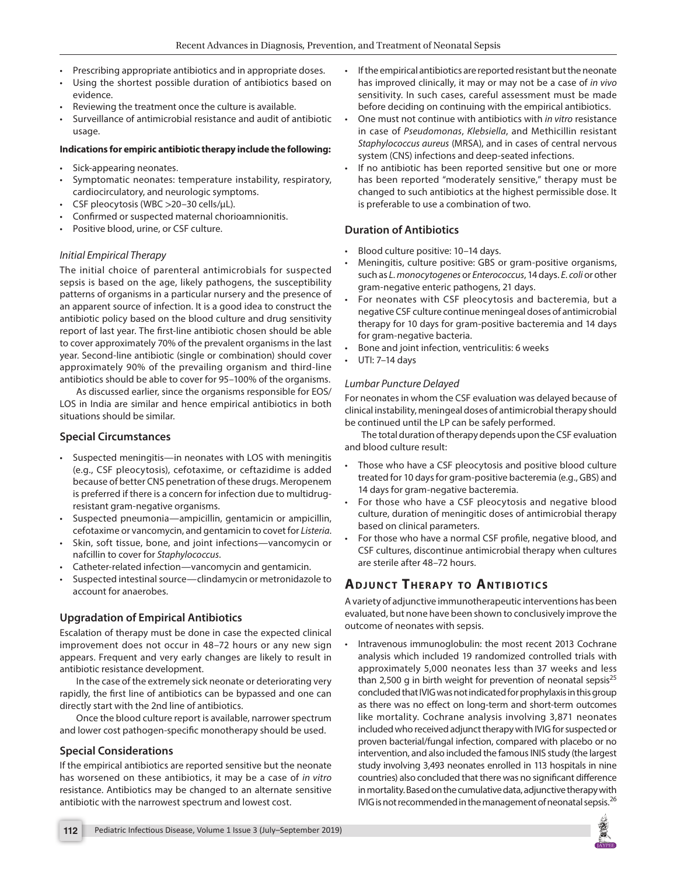- Prescribing appropriate antibiotics and in appropriate doses.
- Using the shortest possible duration of antibiotics based on evidence.
- Reviewing the treatment once the culture is available.
- Surveillance of antimicrobial resistance and audit of antibiotic usage.

#### **Indications for empiric antibiotic therapy include the following:**

- Sick-appearing neonates.
- Symptomatic neonates: temperature instability, respiratory, cardiocirculatory, and neurologic symptoms.
- CSF pleocytosis (WBC >20–30 cells/μL).
- Confirmed or suspected maternal chorioamnionitis.
- Positive blood, urine, or CSF culture.

#### *Initial Empirical Therapy*

The initial choice of parenteral antimicrobials for suspected sepsis is based on the age, likely pathogens, the susceptibility patterns of organisms in a particular nursery and the presence of an apparent source of infection. It is a good idea to construct the antibiotic policy based on the blood culture and drug sensitivity report of last year. The first-line antibiotic chosen should be able to cover approximately 70% of the prevalent organisms in the last year. Second-line antibiotic (single or combination) should cover approximately 90% of the prevailing organism and third-line antibiotics should be able to cover for 95–100% of the organisms.

As discussed earlier, since the organisms responsible for EOS/ LOS in India are similar and hence empirical antibiotics in both situations should be similar.

## **Special Circumstances**

- Suspected meningitis—in neonates with LOS with meningitis (e.g., CSF pleocytosis), cefotaxime, or ceftazidime is added because of better CNS penetration of these drugs. Meropenem is preferred if there is a concern for infection due to multidrugresistant gram-negative organisms.
- Suspected pneumonia—ampicillin, gentamicin or ampicillin, cefotaxime or vancomycin, and gentamicin to covet for *Listeria*.
- Skin, soft tissue, bone, and joint infections—vancomycin or nafcillin to cover for *Staphylococcus*.
- Catheter-related infection—vancomycin and gentamicin.
- Suspected intestinal source—clindamycin or metronidazole to account for anaerobes.

## **Upgradation of Empirical Antibiotics**

Escalation of therapy must be done in case the expected clinical improvement does not occur in 48–72 hours or any new sign appears. Frequent and very early changes are likely to result in antibiotic resistance development.

In the case of the extremely sick neonate or deteriorating very rapidly, the first line of antibiotics can be bypassed and one can directly start with the 2nd line of antibiotics.

Once the blood culture report is available, narrower spectrum and lower cost pathogen-specific monotherapy should be used.

## **Special Considerations**

If the empirical antibiotics are reported sensitive but the neonate has worsened on these antibiotics, it may be a case of *in vitro* resistance. Antibiotics may be changed to an alternate sensitive antibiotic with the narrowest spectrum and lowest cost.

- If the empirical antibiotics are reported resistant but the neonate has improved clinically, it may or may not be a case of *in vivo* sensitivity. In such cases, careful assessment must be made before deciding on continuing with the empirical antibiotics.
- One must not continue with antibiotics with *in vitro* resistance in case of *Pseudomonas*, *Klebsiella*, and Methicillin resistant *Staphylococcus aureus* (MRSA), and in cases of central nervous system (CNS) infections and deep-seated infections.
- If no antibiotic has been reported sensitive but one or more has been reported "moderately sensitive," therapy must be changed to such antibiotics at the highest permissible dose. It is preferable to use a combination of two.

## **Duration of Antibiotics**

- Blood culture positive: 10–14 days.
- Meningitis, culture positive: GBS or gram-positive organisms, such as *L. monocytogenes* or *Enterococcus*, 14 days. *E. coli* or other gram-negative enteric pathogens, 21 days.
- For neonates with CSF pleocytosis and bacteremia, but a negative CSF culture continue meningeal doses of antimicrobial therapy for 10 days for gram-positive bacteremia and 14 days for gram-negative bacteria.
- Bone and joint infection, ventriculitis: 6 weeks
- UTI: 7–14 days

#### *Lumbar Puncture Delayed*

For neonates in whom the CSF evaluation was delayed because of clinical instability, meningeal doses of antimicrobial therapy should be continued until the LP can be safely performed.

The total duration of therapy depends upon the CSF evaluation and blood culture result:

- Those who have a CSF pleocytosis and positive blood culture treated for 10 days for gram-positive bacteremia (e.g., GBS) and 14 days for gram-negative bacteremia.
- For those who have a CSF pleocytosis and negative blood culture, duration of meningitic doses of antimicrobial therapy based on clinical parameters.
- For those who have a normal CSF profile, negative blood, and CSF cultures, discontinue antimicrobial therapy when cultures are sterile after 48–72 hours.

# **ADJUNCT THERAPY TO ANTIBIOTICS**

A variety of adjunctive immunotherapeutic interventions has been evaluated, but none have been shown to conclusively improve the outcome of neonates with sepsis.

• Intravenous immunoglobulin: the most recent 2013 Cochrane analysis which included 19 randomized controlled trials with approximately 5,000 neonates less than 37 weeks and less than 2,500 g in birth weight for prevention of neonatal sepsis<sup>25</sup> concluded that IVIG was not indicated for prophylaxis in this group as there was no effect on long-term and short-term outcomes like mortality. Cochrane analysis involving 3,871 neonates included who received adjunct therapy with IVIG for suspected or proven bacterial/fungal infection, compared with placebo or no intervention, and also included the famous INIS study (the largest study involving 3,493 neonates enrolled in 113 hospitals in nine countries) also concluded that there was no significant difference in mortality. Based on the cumulative data, adjunctive therapy with IVIG is not recommended in the management of neonatal sepsis. $^{26}$